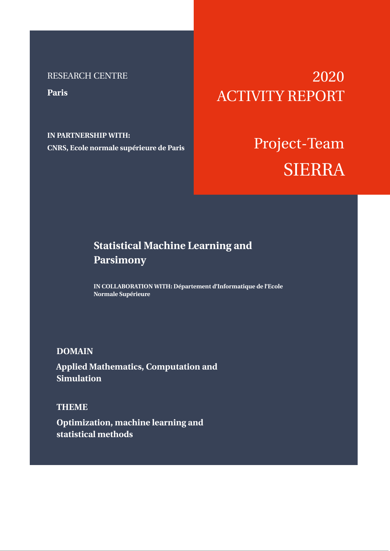## RESEARCH CENTRE

**Paris**

**IN PARTNERSHIP WITH: CNRS, Ecole normale supérieure de Paris**

# 2020 ACTIVITY REPORT

# Project-Team SIERRA

## **Statistical Machine Learning and Parsimony**

**IN COLLABORATION WITH: Département d'Informatique de l'Ecole Normale Supérieure**

## **DOMAIN**

**Applied Mathematics, Computation and Simulation**

## **THEME**

**Optimization, machine learning and statistical methods**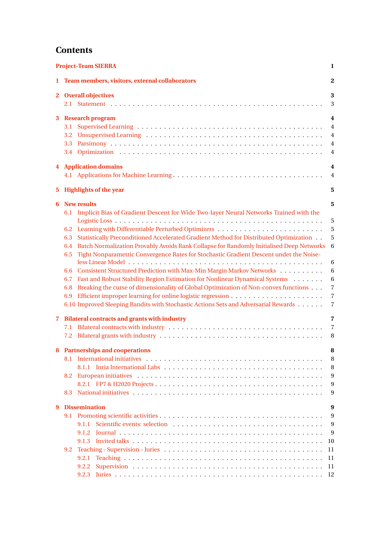## **Contents**

| <b>Project-Team SIERRA</b> |                                               |                                                                                                                                                                                                                                                                                                                                                                                                                                                                                                                                                                                                                                                                                                                                                                                              | 1                                                                                          |
|----------------------------|-----------------------------------------------|----------------------------------------------------------------------------------------------------------------------------------------------------------------------------------------------------------------------------------------------------------------------------------------------------------------------------------------------------------------------------------------------------------------------------------------------------------------------------------------------------------------------------------------------------------------------------------------------------------------------------------------------------------------------------------------------------------------------------------------------------------------------------------------------|--------------------------------------------------------------------------------------------|
| 1                          |                                               | Team members, visitors, external collaborators                                                                                                                                                                                                                                                                                                                                                                                                                                                                                                                                                                                                                                                                                                                                               | 2                                                                                          |
|                            |                                               | 2 Overall objectives                                                                                                                                                                                                                                                                                                                                                                                                                                                                                                                                                                                                                                                                                                                                                                         | 3<br>3                                                                                     |
| 3                          | 3.1<br>3.3                                    | <b>Research program</b>                                                                                                                                                                                                                                                                                                                                                                                                                                                                                                                                                                                                                                                                                                                                                                      | 4<br>$\overline{4}$<br>$\overline{4}$<br>$\overline{4}$<br>$\overline{4}$                  |
| 4                          | <b>Application domains</b><br>$\overline{4}$  |                                                                                                                                                                                                                                                                                                                                                                                                                                                                                                                                                                                                                                                                                                                                                                                              |                                                                                            |
|                            |                                               |                                                                                                                                                                                                                                                                                                                                                                                                                                                                                                                                                                                                                                                                                                                                                                                              | $\overline{4}$                                                                             |
| 5.                         |                                               | <b>Highlights of the year</b>                                                                                                                                                                                                                                                                                                                                                                                                                                                                                                                                                                                                                                                                                                                                                                | 5                                                                                          |
| 6.                         | 6.3<br>6.4<br>6.5<br>6.6<br>6.7<br>6.8<br>6.9 | <b>New results</b><br>6.1 Implicit Bias of Gradient Descent for Wide Two-layer Neural Networks Trained with the<br>6.2 Learning with Differentiable Perturbed Optimizers<br>Statistically Preconditioned Accelerated Gradient Method for Distributed Optimization<br>Batch Normalization Provably Avoids Rank Collapse for Randomly Initialised Deep Networks<br>Tight Nonparametric Convergence Rates for Stochastic Gradient Descent under the Noise-<br>Consistent Structured Prediction with Max-Min Margin Markov Networks<br>Fast and Robust Stability Region Estimation for Nonlinear Dynamical Systems<br>Breaking the curse of dimensionality of Global Optimization of Non-convex functions<br>6.10 Improved Sleeping Bandits with Stochastic Actions Sets and Adversarial Rewards | 5<br>5<br>5<br>5<br>6<br>6<br>6<br>6<br>$\overline{7}$<br>$\overline{7}$<br>$\overline{7}$ |
| $7^{\circ}$                |                                               | <b>Bilateral contracts and grants with industry</b>                                                                                                                                                                                                                                                                                                                                                                                                                                                                                                                                                                                                                                                                                                                                          | $\overline{7}$<br>$\overline{7}$<br>8                                                      |
|                            | 8.2<br>8.3                                    | 8 Partnerships and cooperations                                                                                                                                                                                                                                                                                                                                                                                                                                                                                                                                                                                                                                                                                                                                                              | 8<br>8<br>8<br>9<br>9<br>9                                                                 |
| 9                          |                                               | <b>Dissemination</b>                                                                                                                                                                                                                                                                                                                                                                                                                                                                                                                                                                                                                                                                                                                                                                         | 9                                                                                          |
|                            | 9.2                                           | 9.1.1<br>9.1.2<br>9.2.1<br>9.2.2                                                                                                                                                                                                                                                                                                                                                                                                                                                                                                                                                                                                                                                                                                                                                             | 9<br>9<br>9<br>10<br>11<br>11<br>11                                                        |
|                            |                                               | 9.2.3                                                                                                                                                                                                                                                                                                                                                                                                                                                                                                                                                                                                                                                                                                                                                                                        | 12                                                                                         |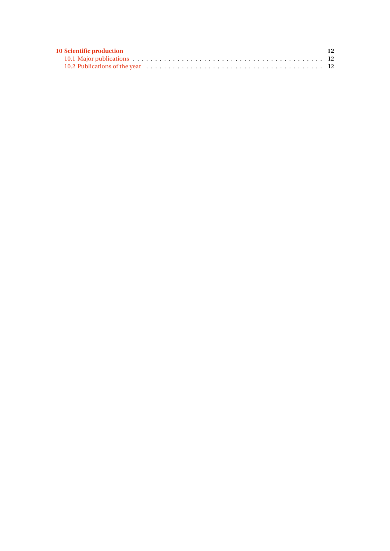| <b>10 Scientific production</b> | 12 |
|---------------------------------|----|
|                                 |    |
|                                 |    |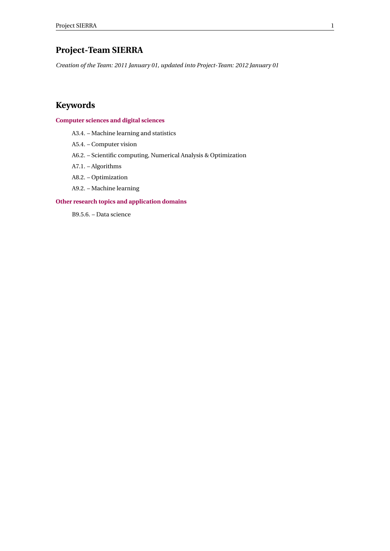## <span id="page-3-0"></span>**Project-Team SIERRA**

*Creation of the Team: 2011 January 01, updated into Project-Team: 2012 January 01*

## **Keywords**

#### **[Computer sciences and digital sciences](https://raweb.inria.fr/rapportsactivite/RA2020/static/keywords/ComputerScienceandDigitalScience.html)**

- A3.4. Machine learning and statistics
- A5.4. Computer vision
- A6.2. Scientific computing, Numerical Analysis & Optimization
- A7.1. Algorithms
- A8.2. Optimization
- A9.2. Machine learning

#### **[Other research topics and application domains](https://raweb.inria.fr/rapportsactivite/RA2020/static/keywords/OtherResearchTopicsandApplicationDomains.html)**

B9.5.6. – Data science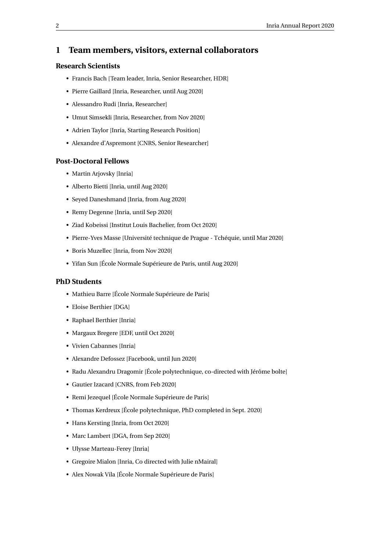## <span id="page-4-0"></span>**1 Team members, visitors, external collaborators**

#### **Research Scientists**

- Francis Bach [Team leader, Inria, Senior Researcher, HDR]
- Pierre Gaillard [Inria, Researcher, until Aug 2020]
- Alessandro Rudi [Inria, Researcher]
- Umut Simsekli [Inria, Researcher, from Nov 2020]
- Adrien Taylor [Inria, Starting Research Position]
- Alexandre d'Aspremont [CNRS, Senior Researcher]

#### **Post-Doctoral Fellows**

- Martin Arjovsky [Inria]
- Alberto Bietti [Inria, until Aug 2020]
- Seyed Daneshmand [Inria, from Aug 2020]
- Remy Degenne [Inria, until Sep 2020]
- Ziad Kobeissi [Institut Louis Bachelier, from Oct 2020]
- Pierre-Yves Masse [Université technique de Prague Tchéquie, until Mar 2020]
- Boris Muzellec [Inria, from Nov 2020]
- Yifan Sun [École Normale Supérieure de Paris, until Aug 2020]

#### **PhD Students**

- Mathieu Barre [École Normale Supérieure de Paris]
- Eloise Berthier [DGA]
- Raphael Berthier [Inria]
- Margaux Bregere [EDF, until Oct 2020]
- Vivien Cabannes [Inria]
- Alexandre Defossez [Facebook, until Jun 2020]
- Radu Alexandru Dragomir [École polytechnique, co-directed with Jérôme bolte]
- Gautier Izacard [CNRS, from Feb 2020]
- Remi Jezequel [École Normale Supérieure de Paris]
- Thomas Kerdreux [École polytechnique, PhD completed in Sept. 2020]
- Hans Kersting [Inria, from Oct 2020]
- Marc Lambert [DGA, from Sep 2020]
- Ulysse Marteau-Ferey [Inria]
- Gregoire Mialon [Inria, Co directed with Julie nMairal]
- Alex Nowak Vila [École Normale Supérieure de Paris]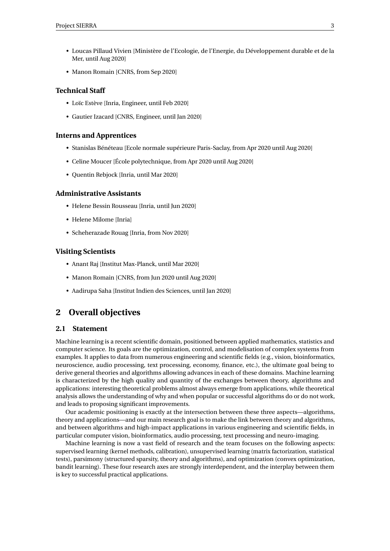- Loucas Pillaud Vivien [Ministère de l'Ecologie, de l'Energie, du Développement durable et de la Mer, until Aug 2020]
- Manon Romain [CNRS, from Sep 2020]

#### **Technical Staff**

- Loïc Estève [Inria, Engineer, until Feb 2020]
- Gautier Izacard [CNRS, Engineer, until Jan 2020]

#### **Interns and Apprentices**

- Stanislas Bénéteau [Ecole normale supérieure Paris-Saclay, from Apr 2020 until Aug 2020]
- Celine Moucer [École polytechnique, from Apr 2020 until Aug 2020]
- Quentin Rebjock [Inria, until Mar 2020]

#### **Administrative Assistants**

- Helene Bessin Rousseau [Inria, until Jun 2020]
- Helene Milome [Inria]
- Scheherazade Rouag [Inria, from Nov 2020]

#### **Visiting Scientists**

- Anant Raj [Institut Max-Planck, until Mar 2020]
- Manon Romain [CNRS, from Jun 2020 until Aug 2020]
- Aadirupa Saha [Institut Indien des Sciences, until Jan 2020]

## <span id="page-5-0"></span>**2 Overall objectives**

#### <span id="page-5-1"></span>**2.1 Statement**

Machine learning is a recent scientific domain, positioned between applied mathematics, statistics and computer science. Its goals are the optimization, control, and modelisation of complex systems from examples. It applies to data from numerous engineering and scientific fields (e.g., vision, bioinformatics, neuroscience, audio processing, text processing, economy, finance, etc.), the ultimate goal being to derive general theories and algorithms allowing advances in each of these domains. Machine learning is characterized by the high quality and quantity of the exchanges between theory, algorithms and applications: interesting theoretical problems almost always emerge from applications, while theoretical analysis allows the understanding of why and when popular or successful algorithms do or do not work, and leads to proposing significant improvements.

Our academic positioning is exactly at the intersection between these three aspects—algorithms, theory and applications—and our main research goal is to make the link between theory and algorithms, and between algorithms and high-impact applications in various engineering and scientific fields, in particular computer vision, bioinformatics, audio processing, text processing and neuro-imaging.

Machine learning is now a vast field of research and the team focuses on the following aspects: supervised learning (kernel methods, calibration), unsupervised learning (matrix factorization, statistical tests), parsimony (structured sparsity, theory and algorithms), and optimization (convex optimization, bandit learning). These four research axes are strongly interdependent, and the interplay between them is key to successful practical applications.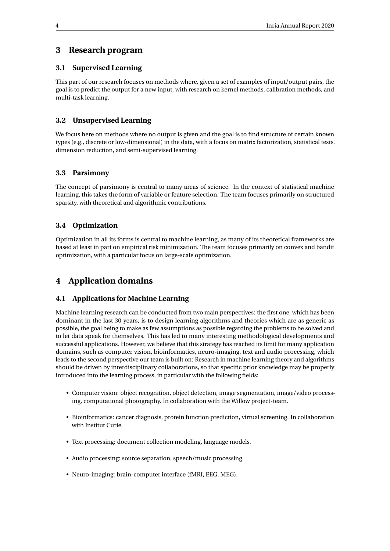## <span id="page-6-0"></span>**3 Research program**

#### <span id="page-6-1"></span>**3.1 Supervised Learning**

This part of our research focuses on methods where, given a set of examples of input/output pairs, the goal is to predict the output for a new input, with research on kernel methods, calibration methods, and multi-task learning.

#### <span id="page-6-2"></span>**3.2 Unsupervised Learning**

We focus here on methods where no output is given and the goal is to find structure of certain known types (e.g., discrete or low-dimensional) in the data, with a focus on matrix factorization, statistical tests, dimension reduction, and semi-supervised learning.

#### <span id="page-6-3"></span>**3.3 Parsimony**

The concept of parsimony is central to many areas of science. In the context of statistical machine learning, this takes the form of variable or feature selection. The team focuses primarily on structured sparsity, with theoretical and algorithmic contributions.

#### <span id="page-6-4"></span>**3.4 Optimization**

Optimization in all its forms is central to machine learning, as many of its theoretical frameworks are based at least in part on empirical risk minimization. The team focuses primarily on convex and bandit optimization, with a particular focus on large-scale optimization.

## <span id="page-6-5"></span>**4 Application domains**

#### <span id="page-6-6"></span>**4.1 Applications for Machine Learning**

Machine learning research can be conducted from two main perspectives: the first one, which has been dominant in the last 30 years, is to design learning algorithms and theories which are as generic as possible, the goal being to make as few assumptions as possible regarding the problems to be solved and to let data speak for themselves. This has led to many interesting methodological developments and successful applications. However, we believe that this strategy has reached its limit for many application domains, such as computer vision, bioinformatics, neuro-imaging, text and audio processing, which leads to the second perspective our team is built on: Research in machine learning theory and algorithms should be driven by interdisciplinary collaborations, so that specific prior knowledge may be properly introduced into the learning process, in particular with the following fields:

- Computer vision: object recognition, object detection, image segmentation, image/video processing, computational photography. In collaboration with the Willow project-team.
- Bioinformatics: cancer diagnosis, protein function prediction, virtual screening. In collaboration with Institut Curie.
- Text processing: document collection modeling, language models.
- Audio processing: source separation, speech/music processing.
- Neuro-imaging: brain-computer interface (fMRI, EEG, MEG).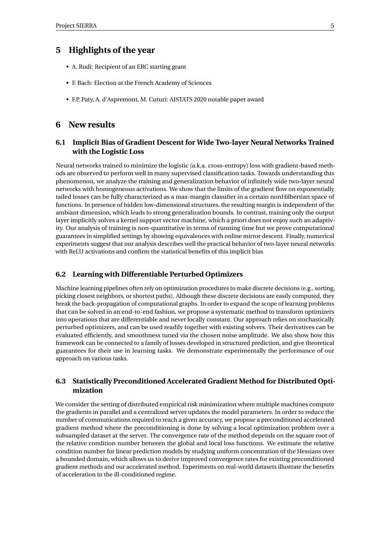## <span id="page-7-0"></span>**5 Highlights of the year**

- A. Rudi: Recipient of an ERC starting grant
- F. Bach: Election at the French Academy of Sciences
- F.P. Paty, A. d'Aspremont, M. Cuturi: AISTATS 2020 notable paper award

#### <span id="page-7-1"></span>**6 New results**

#### <span id="page-7-2"></span>**6.1 Implicit Bias of Gradient Descent for Wide Two-layer Neural Networks Trained with the Logistic Loss**

Neural networks trained to minimize the logistic (a.k.a. cross-entropy) loss with gradient-based methods are observed to perform well in many supervised classification tasks. Towards understanding this phenomenon, we analyze the training and generalization behavior of infinitely wide two-layer neural networks with homogeneous activations. We show that the limits of the gradient flow on exponentially tailed losses can be fully characterized as a max-margin classifier in a certain nonHilbertian space of functions. In presence of hidden low-dimensional structures, the resulting margin is independent of the ambiant dimension, which leads to strong generalization bounds. In contrast, training only the output layer implicitly solves a kernel support vector machine, which a priori does not enjoy such an adaptivity. Our analysis of training is non-quantitative in terms of running time but we prove computational guarantees in simplified settings by showing equivalences with online mirror descent. Finally, numerical experiments suggest that our analysis describes well the practical behavior of two-layer neural networks with ReLU activations and confirm the statistical benefits of this implicit bias

#### <span id="page-7-3"></span>**6.2 Learning with Differentiable Perturbed Optimizers**

Machine learning pipelines often rely on optimization procedures to make discrete decisions (e.g., sorting, picking closest neighbors, or shortest paths). Although these discrete decisions are easily computed, they break the back-propagation of computational graphs. In order to expand the scope of learning problems that can be solved in an end-to-end fashion, we propose a systematic method to transform optimizers into operations that are differentiable and never locally constant. Our approach relies on stochastically perturbed optimizers, and can be used readily together with existing solvers. Their derivatives can be evaluated efficiently, and smoothness tuned via the chosen noise amplitude. We also show how this framework can be connected to a family of losses developed in structured prediction, and give theoretical guarantees for their use in learning tasks. We demonstrate experimentally the performance of our approach on various tasks.

#### <span id="page-7-4"></span>**6.3 Statistically Preconditioned Accelerated Gradient Method for Distributed Optimization**

We consider the setting of distributed empirical risk minimization where multiple machines compute the gradients in parallel and a centralized server updates the model parameters. In order to reduce the number of communications required to reach a given accuracy, we propose a preconditioned accelerated gradient method where the preconditioning is done by solving a local optimization problem over a subsampled dataset at the server. The convergence rate of the method depends on the square root of the relative condition number between the global and local loss functions. We estimate the relative condition number for linear prediction models by studying uniform concentration of the Hessians over a bounded domain, which allows us to derive improved convergence rates for existing preconditioned gradient methods and our accelerated method. Experiments on real-world datasets illustrate the benefits of acceleration in the ill-conditioned regime.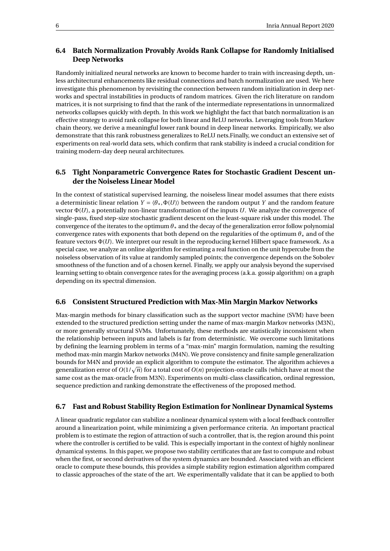#### <span id="page-8-0"></span>**6.4 Batch Normalization Provably Avoids Rank Collapse for Randomly Initialised Deep Networks**

Randomly initialized neural networks are known to become harder to train with increasing depth, unless architectural enhancements like residual connections and batch normalization are used. We here investigate this phenomenon by revisiting the connection between random initialization in deep networks and spectral instabilities in products of random matrices. Given the rich literature on random matrices, it is not surprising to find that the rank of the intermediate representations in unnormalized networks collapses quickly with depth. In this work we highlight the fact that batch normalization is an effective strategy to avoid rank collapse for both linear and ReLU networks. Leveraging tools from Markov chain theory, we derive a meaningful lower rank bound in deep linear networks. Empirically, we also demonstrate that this rank robustness generalizes to ReLU nets.Finally, we conduct an extensive set of experiments on real-world data sets, which confirm that rank stability is indeed a crucial condition for training modern-day deep neural architectures.

#### <span id="page-8-1"></span>**6.5 Tight Nonparametric Convergence Rates for Stochastic Gradient Descent under the Noiseless Linear Model**

In the context of statistical supervised learning, the noiseless linear model assumes that there exists a deterministic linear relation  $Y = \langle \theta_*, \Phi(U) \rangle$  between the random output *Y* and the random feature vector Φ(*U*), a potentially non-linear transformation of the inputs *U*. We analyze the convergence of single-pass, fixed step-size stochastic gradient descent on the least-square risk under this model. The convergence of the iterates to the optimum *θ*∗ and the decay of the generalization error follow polynomial convergence rates with exponents that both depend on the regularities of the optimum *θ*∗ and of the feature vectors Φ(*U*). We interpret our result in the reproducing kernel Hilbert space framework. As a special case, we analyze an online algorithm for estimating a real function on the unit hypercube from the noiseless observation of its value at randomly sampled points; the convergence depends on the Sobolev smoothness of the function and of a chosen kernel. Finally, we apply our analysis beyond the supervised learning setting to obtain convergence rates for the averaging process (a.k.a. gossip algorithm) on a graph depending on its spectral dimension.

#### <span id="page-8-2"></span>**6.6 Consistent Structured Prediction with Max-Min Margin Markov Networks**

Max-margin methods for binary classification such as the support vector machine (SVM) have been extended to the structured prediction setting under the name of max-margin Markov networks (M3N), or more generally structural SVMs. Unfortunately, these methods are statistically inconsistent when the relationship between inputs and labels is far from deterministic. We overcome such limitations by defining the learning problem in terms of a "max-min" margin formulation, naming the resulting method max-min margin Markov networks (M4N). We prove consistency and finite sample generalization bounds for M4N and provide an explicit algorithm to compute the estimator. The algorithm achieves a bounds for M4N and provide an explicit aigorithm to compute the estimator. The aigorithm achieves a<br>generalization error of  $O(1/\sqrt{n})$  for a total cost of  $O(n)$  projection-oracle calls (which have at most the same cost as the max-oracle from M3N). Experiments on multi-class classification, ordinal regression, sequence prediction and ranking demonstrate the effectiveness of the proposed method.

#### <span id="page-8-3"></span>**6.7 Fast and Robust Stability Region Estimation for Nonlinear Dynamical Systems**

A linear quadratic regulator can stabilize a nonlinear dynamical system with a local feedback controller around a linearization point, while minimizing a given performance criteria. An important practical problem is to estimate the region of attraction of such a controller, that is, the region around this point where the controller is certified to be valid. This is especially important in the context of highly nonlinear dynamical systems. In this paper, we propose two stability certificates that are fast to compute and robust when the first, or second derivatives of the system dynamics are bounded. Associated with an efficient oracle to compute these bounds, this provides a simple stability region estimation algorithm compared to classic approaches of the state of the art. We experimentally validate that it can be applied to both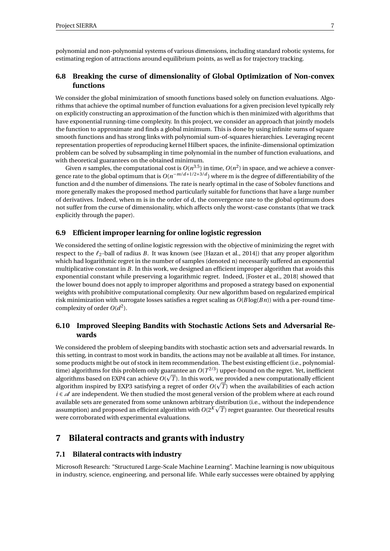polynomial and non-polynomial systems of various dimensions, including standard robotic systems, for estimating region of attractions around equilibrium points, as well as for trajectory tracking.

#### <span id="page-9-0"></span>**6.8 Breaking the curse of dimensionality of Global Optimization of Non-convex functions**

We consider the global minimization of smooth functions based solely on function evaluations. Algorithms that achieve the optimal number of function evaluations for a given precision level typically rely on explicitly constructing an approximation of the function which is then minimized with algorithms that have exponential running-time complexity. In this project, we consider an approach that jointly models the function to approximate and finds a global minimum. This is done by using infinite sums of square smooth functions and has strong links with polynomial sum-of-squares hierarchies. Leveraging recent representation properties of reproducing kernel Hilbert spaces, the infinite-dimensional optimization problem can be solved by subsampling in time polynomial in the number of function evaluations, and with theoretical guarantees on the obtained minimum.

Given *n* samples, the computational cost is  $O(n^{3.5})$  in time,  $O(n^2)$  in space, and we achieve a convergence rate to the global optimum that is  $O(n^{-m/d+1/2+3/d})$  where m is the degree of differentiability of the function and d the number of dimensions. The rate is nearly optimal in the case of Sobolev functions and more generally makes the proposed method particularly suitable for functions that have a large number of derivatives. Indeed, when m is in the order of d, the convergence rate to the global optimum does not suffer from the curse of dimensionality, which affects only the worst-case constants (that we track explicitly through the paper).

#### <span id="page-9-1"></span>**6.9 Efficient improper learning for online logistic regression**

We considered the setting of online logistic regression with the objective of minimizing the regret with respect to the  $\ell_2$ -ball of radius *B*. It was known (see [Hazan et al., 2014]) that any proper algorithm which had logarithmic regret in the number of samples (denoted n) necessarily suffered an exponential multiplicative constant in *B*. In this work, we designed an efficient improper algorithm that avoids this exponential constant while preserving a logarithmic regret. Indeed, [Foster et al., 2018] showed that the lower bound does not apply to improper algorithms and proposed a strategy based on exponential weights with prohibitive computational complexity. Our new algorithm based on regularized empirical risk minimization with surrogate losses satisfies a regret scaling as *O*(*B* log(*Bn*)) with a per-round timecomplexity of order  $O(d^2)$ .

#### <span id="page-9-2"></span>**6.10 Improved Sleeping Bandits with Stochastic Actions Sets and Adversarial Rewards**

We considered the problem of sleeping bandits with stochastic action sets and adversarial rewards. In this setting, in contrast to most work in bandits, the actions may not be available at all times. For instance, some products might be out of stock in item recommendation. The best existing efficient (i.e., polynomialtime) algorithms for this problem only guarantee an  $O(T^{2/3})$  upper-bound on the regret. Yet, inefficient algorithms based on EXP4 can achieve  $O(\sqrt{T})$ . In this work, we provided a new computationally efficient algorithm inspired by EXP3 satisfying a regret of order  $O(\sqrt{T})$  when the availabilities of each action *i*  $\epsilon \ll 4$  are independent. We then studied the most general version of the problem where at each round available sets are generated from some unknown arbitrary distribution (i.e., without the independence p assumption) and proposed an efficient algorithm with  $O(2^K\sqrt{T})$  regret guarantee. Our theoretical results were corroborated with experimental evaluations.

## <span id="page-9-3"></span>**7 Bilateral contracts and grants with industry**

#### <span id="page-9-4"></span>**7.1 Bilateral contracts with industry**

Microsoft Research: "Structured Large-Scale Machine Learning". Machine learning is now ubiquitous in industry, science, engineering, and personal life. While early successes were obtained by applying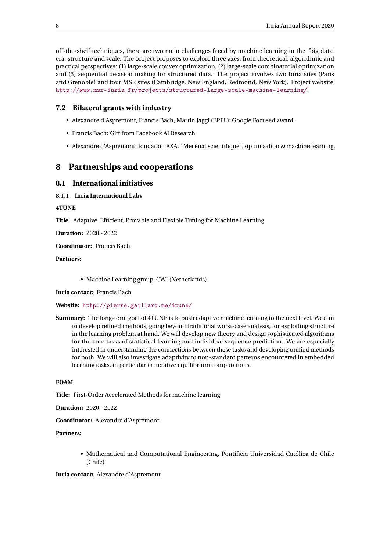off-the-shelf techniques, there are two main challenges faced by machine learning in the "big data" era: structure and scale. The project proposes to explore three axes, from theoretical, algorithmic and practical perspectives: (1) large-scale convex optimization, (2) large-scale combinatorial optimization and (3) sequential decision making for structured data. The project involves two Inria sites (Paris and Grenoble) and four MSR sites (Cambridge, New England, Redmond, New York). Project website: <http://www.msr-inria.fr/projects/structured-large-scale-machine-learning/>.

#### <span id="page-10-0"></span>**7.2 Bilateral grants with industry**

- Alexandre d'Aspremont, Francis Bach, Martin Jaggi (EPFL): Google Focused award.
- Francis Bach: Gift from Facebook AI Research.
- Alexandre d'Aspremont: fondation AXA, "Mécénat scientifique", optimisation & machine learning.

## <span id="page-10-1"></span>**8 Partnerships and cooperations**

#### <span id="page-10-2"></span>**8.1 International initiatives**

#### <span id="page-10-3"></span>**8.1.1 Inria International Labs**

#### **4TUNE**

**Title:** Adaptive, Efficient, Provable and Flexible Tuning for Machine Learning

**Duration:** 2020 - 2022

**Coordinator:** Francis Bach

#### **Partners:**

• Machine Learning group, CWI (Netherlands)

**Inria contact:** Francis Bach

**Website:** <http://pierre.gaillard.me/4tune/>

**Summary:** The long-term goal of 4TUNE is to push adaptive machine learning to the next level. We aim to develop refined methods, going beyond traditional worst-case analysis, for exploiting structure in the learning problem at hand. We will develop new theory and design sophisticated algorithms for the core tasks of statistical learning and individual sequence prediction. We are especially interested in understanding the connections between these tasks and developing unified methods for both. We will also investigate adaptivity to non-standard patterns encountered in embedded learning tasks, in particular in iterative equilibrium computations.

#### **FOAM**

**Title:** First-Order Accelerated Methods for machine learning

**Duration:** 2020 - 2022

**Coordinator:** Alexandre d'Aspremont

#### **Partners:**

• Mathematical and Computational Engineering, Pontificia Universidad Católica de Chile (Chile)

**Inria contact:** Alexandre d'Aspremont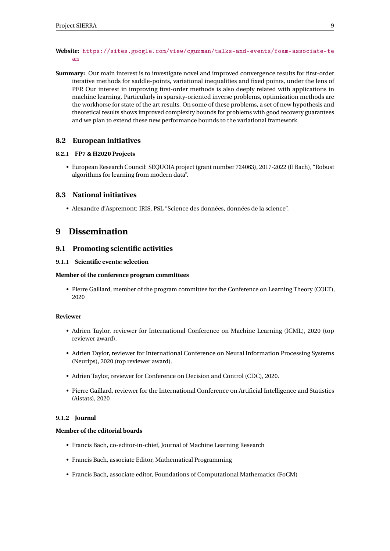#### **Website:** [https://sites.google.com/view/cguzman/talks-and-events/foam-associate-te](https://sites.google.com/view/cguzman/talks-and-events/foam-associate-team) [am](https://sites.google.com/view/cguzman/talks-and-events/foam-associate-team)

**Summary:** Our main interest is to investigate novel and improved convergence results for first-order iterative methods for saddle-points, variational inequalities and fixed points, under the lens of PEP. Our interest in improving first-order methods is also deeply related with applications in machine learning. Particularly in sparsity-oriented inverse problems, optimization methods are the workhorse for state of the art results. On some of these problems, a set of new hypothesis and theoretical results shows improved complexity bounds for problems with good recovery guarantees and we plan to extend these new performance bounds to the variational framework.

#### <span id="page-11-0"></span>**8.2 European initiatives**

#### <span id="page-11-1"></span>**8.2.1 FP7 & H2020 Projects**

• European Research Council: SEQUOIA project (grant number 724063), 2017-2022 (F. Bach), "Robust algorithms for learning from modern data".

#### <span id="page-11-2"></span>**8.3 National initiatives**

• Alexandre d'Aspremont: IRIS, PSL "Science des données, données de la science".

#### <span id="page-11-3"></span>**9 Dissemination**

#### <span id="page-11-4"></span>**9.1 Promoting scientific activities**

#### <span id="page-11-5"></span>**9.1.1 Scientific events: selection**

#### **Member of the conference program committees**

• Pierre Gaillard, member of the program committee for the Conference on Learning Theory (COLT), 2020

#### **Reviewer**

- Adrien Taylor, reviewer for International Conference on Machine Learning (ICML), 2020 (top reviewer award).
- Adrien Taylor, reviewer for International Conference on Neural Information Processing Systems (Neurips), 2020 (top reviewer award).
- Adrien Taylor, reviewer for Conference on Decision and Control (CDC), 2020.
- Pierre Gaillard, reviewer for the International Conference on Artificial Intelligence and Statistics (Aistats), 2020

#### <span id="page-11-6"></span>**9.1.2 Journal**

#### **Member of the editorial boards**

- Francis Bach, co-editor-in-chief, Journal of Machine Learning Research
- Francis Bach, associate Editor, Mathematical Programming
- Francis Bach, associate editor, Foundations of Computational Mathematics (FoCM)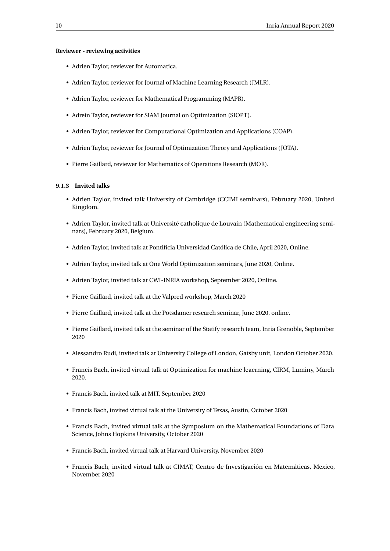#### **Reviewer - reviewing activities**

- Adrien Taylor, reviewer for Automatica.
- Adrien Taylor, reviewer for Journal of Machine Learning Research (JMLR).
- Adrien Taylor, reviewer for Mathematical Programming (MAPR).
- Adrein Taylor, reviewer for SIAM Journal on Optimization (SIOPT).
- Adrien Taylor, reviewer for Computational Optimization and Applications (COAP).
- Adrien Taylor, reviewer for Journal of Optimization Theory and Applications (JOTA).
- Pierre Gaillard, reviewer for Mathematics of Operations Research (MOR).

#### <span id="page-12-0"></span>**9.1.3 Invited talks**

- Adrien Taylor, invited talk University of Cambridge (CCIMI seminars), February 2020, United Kingdom.
- Adrien Taylor, invited talk at Université catholique de Louvain (Mathematical engineering seminars), February 2020, Belgium.
- Adrien Taylor, invited talk at Pontificia Universidad Católica de Chile, April 2020, Online.
- Adrien Taylor, invited talk at One World Optimization seminars, June 2020, Online.
- Adrien Taylor, invited talk at CWI-INRIA workshop, September 2020, Online.
- Pierre Gaillard, invited talk at the Valpred workshop, March 2020
- Pierre Gaillard, invited talk at the Potsdamer research seminar, June 2020, online.
- Pierre Gaillard, invited talk at the seminar of the Statify research team, Inria Grenoble, September 2020
- Alessandro Rudi, invited talk at University College of London, Gatsby unit, London October 2020.
- Francis Bach, invited virtual talk at Optimization for machine leaerning, CIRM, Luminy, March 2020.
- Francis Bach, invited talk at MIT, September 2020
- Francis Bach, invited virtual talk at the University of Texas, Austin, October 2020
- Francis Bach, invited virtual talk at the Symposium on the Mathematical Foundations of Data Science, Johns Hopkins University, October 2020
- Francis Bach, invited virtual talk at Harvard University, November 2020
- Francis Bach, invited virtual talk at CIMAT, Centro de Investigación en Matemáticas, Mexico, November 2020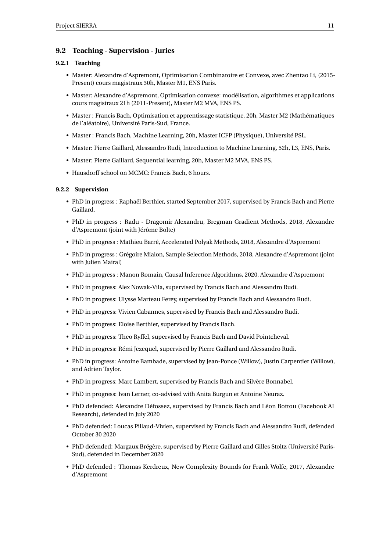#### <span id="page-13-0"></span>**9.2 Teaching - Supervision - Juries**

#### <span id="page-13-1"></span>**9.2.1 Teaching**

- Master: Alexandre d'Aspremont, Optimisation Combinatoire et Convexe, avec Zhentao Li, (2015- Present) cours magistraux 30h, Master M1, ENS Paris.
- Master: Alexandre d'Aspremont, Optimisation convexe: modélisation, algorithmes et applications cours magistraux 21h (2011-Present), Master M2 MVA, ENS PS.
- Master : Francis Bach, Optimisation et apprentissage statistique, 20h, Master M2 (Mathématiques de l'aléatoire), Université Paris-Sud, France.
- Master : Francis Bach, Machine Learning, 20h, Master ICFP (Physique), Université PSL.
- Master: Pierre Gaillard, Alessandro Rudi, Introduction to Machine Learning, 52h, L3, ENS, Paris.
- Master: Pierre Gaillard, Sequential learning, 20h, Master M2 MVA, ENS PS.
- Hausdorff school on MCMC: Francis Bach, 6 hours.

#### <span id="page-13-2"></span>**9.2.2 Supervision**

- PhD in progress : Raphaël Berthier, started September 2017, supervised by Francis Bach and Pierre Gaillard.
- PhD in progress : Radu Dragomir Alexandru, Bregman Gradient Methods, 2018, Alexandre d'Aspremont (joint with Jérôme Bolte)
- PhD in progress : Mathieu Barré, Accelerated Polyak Methods, 2018, Alexandre d'Aspremont
- PhD in progress : Grégoire Mialon, Sample Selection Methods, 2018, Alexandre d'Aspremont (joint with Julien Mairal)
- PhD in progress : Manon Romain, Causal Inference Algorithms, 2020, Alexandre d'Aspremont
- PhD in progress: Alex Nowak-Vila, supervised by Francis Bach and Alessandro Rudi.
- PhD in progress: Ulysse Marteau Ferey, supervised by Francis Bach and Alessandro Rudi.
- PhD in progress: Vivien Cabannes, supervised by Francis Bach and Alessandro Rudi.
- PhD in progress: Eloise Berthier, supervised by Francis Bach.
- PhD in progress: Theo Ryffel, supervised by Francis Bach and David Pointcheval.
- PhD in progress: Rémi Jezequel, supervised by Pierre Gaillard and Alessandro Rudi.
- PhD in progress: Antoine Bambade, supervised by Jean-Ponce (Willow), Justin Carpentier (Willow), and Adrien Taylor.
- PhD in progress: Marc Lambert, supervised by Francis Bach and Silvère Bonnabel.
- PhD in progress: Ivan Lerner, co-advised with Anita Burgun et Antoine Neuraz.
- PhD defended: Alexandre Défossez, supervised by Francis Bach and Léon Bottou (Facebook AI Research), defended in July 2020
- PhD defended: Loucas Pillaud-Vivien, supervised by Francis Bach and Alessandro Rudi, defended October 30 2020
- PhD defended: Margaux Brégère, supervised by Pierre Gaillard and Gilles Stoltz (Université Paris-Sud), defended in December 2020
- PhD defended : Thomas Kerdreux, New Complexity Bounds for Frank Wolfe, 2017, Alexandre d'Aspremont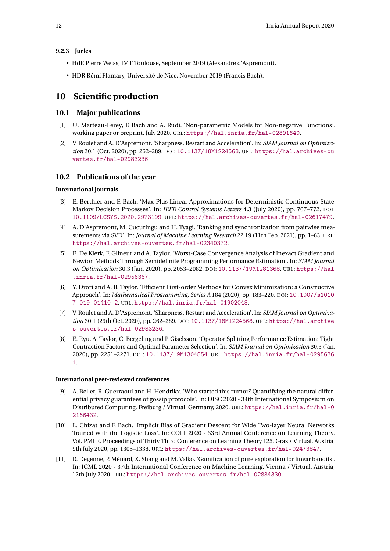#### <span id="page-14-0"></span>**9.2.3 Juries**

- HdR Pierre Weiss, IMT Toulouse, September 2019 (Alexandre d'Aspremont).
- HDR Rémi Flamary, Université de Nice, November 2019 (Francis Bach).

## <span id="page-14-1"></span>**10 Scientific production**

#### <span id="page-14-2"></span>**10.1 Major publications**

- [1] U. Marteau-Ferey, F. Bach and A. Rudi. 'Non-parametric Models for Non-negative Functions'. working paper or preprint. July 2020. URL: <https://hal.inria.fr/hal-02891640>.
- [2] V. Roulet and A. D'Aspremont. 'Sharpness, Restart and Acceleration'. In: *SIAM Journal on Optimization* 30.1 (Oct. 2020), pp. 262–289. DOI: [10.1137/18M1224568](https://doi.org/10.1137/18M1224568). URL: [https://hal.archives-ou](https://hal.archives-ouvertes.fr/hal-02983236) [vertes.fr/hal-02983236](https://hal.archives-ouvertes.fr/hal-02983236).

#### <span id="page-14-3"></span>**10.2 Publications of the year**

#### **International journals**

- [3] E. Berthier and F. Bach. 'Max-Plus Linear Approximations for Deterministic Continuous-State Markov Decision Processes'. In: *IEEE Control Systems Letters* 4.3 (July 2020), pp. 767–772. DOI: [10.1109/LCSYS.2020.2973199](https://doi.org/10.1109/LCSYS.2020.2973199). URL: <https://hal.archives-ouvertes.fr/hal-02617479>.
- [4] A. D'Aspremont, M. Cucuringu and H. Tyagi. 'Ranking and synchronization from pairwise measurements via SVD'. In: *Journal of Machine Learning Research* 22.19 (11th Feb. 2021), pp. 1–63. URL: <https://hal.archives-ouvertes.fr/hal-02340372>.
- [5] E. De Klerk, F. Glineur and A. Taylor. 'Worst-Case Convergence Analysis of Inexact Gradient and Newton Methods Through Semidefinite Programming Performance Estimation'. In: *SIAM Journal on Optimization* 30.3 (Jan. 2020), pp. 2053–2082. DOI: [10.1137/19M1281368](https://doi.org/10.1137/19M1281368). URL: [https://hal](https://hal.inria.fr/hal-02956367) [.inria.fr/hal-02956367](https://hal.inria.fr/hal-02956367).
- [6] Y. Drori and A. B. Taylor. 'Efficient First-order Methods for Convex Minimization: a Constructive Approach'. In: *Mathematical Programming, Series A* 184 (2020), pp. 183–220. DOI: [10.1007/s1010](https://doi.org/10.1007/s10107-019-01410-2) [7-019-01410-2](https://doi.org/10.1007/s10107-019-01410-2). URL: <https://hal.inria.fr/hal-01902048>.
- [7] V. Roulet and A. D'Aspremont. 'Sharpness, Restart and Acceleration'. In: *SIAM Journal on Optimization* 30.1 (29th Oct. 2020), pp. 262–289. DOI: [10.1137/18M1224568](https://doi.org/10.1137/18M1224568). URL: [https://hal.archive](https://hal.archives-ouvertes.fr/hal-02983236) [s-ouvertes.fr/hal-02983236](https://hal.archives-ouvertes.fr/hal-02983236).
- [8] E. Ryu, A. Taylor, C. Bergeling and P. Giselsson. 'Operator Splitting Performance Estimation: Tight Contraction Factors and Optimal Parameter Selection'. In: *SIAM Journal on Optimization* 30.3 (Jan. 2020), pp. 2251–2271. DOI: [10.1137/19M1304854](https://doi.org/10.1137/19M1304854). URL: [https://hal.inria.fr/hal-0295636](https://hal.inria.fr/hal-02956361) [1](https://hal.inria.fr/hal-02956361).

#### **International peer-reviewed conferences**

- [9] A. Bellet, R. Guerraoui and H. Hendrikx. 'Who started this rumor? Quantifying the natural differential privacy guarantees of gossip protocols'. In: DISC 2020 - 34th International Symposium on Distributed Computing. Freiburg / Virtual, Germany, 2020. URL: [https://hal.inria.fr/hal-0](https://hal.inria.fr/hal-02166432) [2166432](https://hal.inria.fr/hal-02166432).
- [10] L. Chizat and F. Bach. 'Implicit Bias of Gradient Descent for Wide Two-layer Neural Networks Trained with the Logistic Loss'. In: COLT 2020 - 33rd Annual Conference on Learning Theory. Vol. PMLR. Proceedings of Thirty Third Conference on Learning Theory 125. Graz / Virtual, Austria, 9th July 2020, pp. 1305–1338. URL: <https://hal.archives-ouvertes.fr/hal-02473847>.
- [11] R. Degenne, P. Ménard, X. Shang and M. Valko. 'Gamification of pure exploration for linear bandits'. In: ICML 2020 - 37th International Conference on Machine Learning. Vienna / Virtual, Austria, 12th July 2020. URL: <https://hal.archives-ouvertes.fr/hal-02884330>.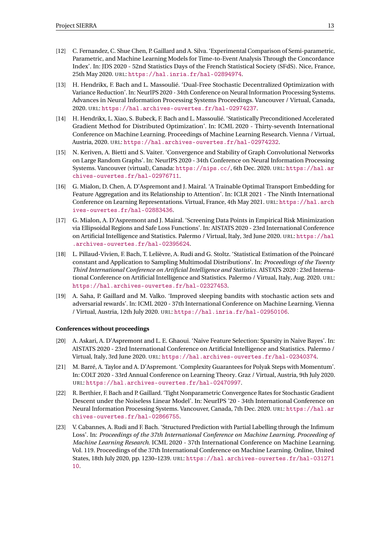- [12] C. Fernandez, C. Shue Chen, P. Gaillard and A. Silva. 'Experimental Comparison of Semi-parametric, Parametric, and Machine Learning Models for Time-to-Event Analysis Through the Concordance Index'. In: JDS 2020 - 52nd Statistics Days of the French Statistical Society (SFdS). Nice, France, 25th May 2020. URL: <https://hal.inria.fr/hal-02894974>.
- [13] H. Hendrikx, F. Bach and L. Massoulié. 'Dual-Free Stochastic Decentralized Optimization with Variance Reduction'. In: NeurIPS 2020 - 34th Conference on Neural Information Processing Systems. Advances in Neural Information Processing Systems Proceedings. Vancouver / Virtual, Canada, 2020. URL: <https://hal.archives-ouvertes.fr/hal-02974237>.
- [14] H. Hendrikx, L. Xiao, S. Bubeck, F. Bach and L. Massoulié. 'Statistically Preconditioned Accelerated Gradient Method for Distributed Optimization'. In: ICML 2020 - Thirty-seventh International Conference on Machine Learning. Proceedings of Machine Learning Research. Vienna / Virtual, Austria, 2020. URL: <https://hal.archives-ouvertes.fr/hal-02974232>.
- [15] N. Keriven, A. Bietti and S. Vaiter. 'Convergence and Stability of Graph Convolutional Networks on Large Random Graphs'. In: NeurIPS 2020 - 34th Conference on Neural Information Processing Systems. Vancouver (virtual), Canada: <https://nips.cc/>, 6th Dec. 2020. URL: [https://hal.ar](https://hal.archives-ouvertes.fr/hal-02976711) [chives-ouvertes.fr/hal-02976711](https://hal.archives-ouvertes.fr/hal-02976711).
- [16] G. Mialon, D. Chen, A. D'Aspremont and J. Mairal. 'A Trainable Optimal Transport Embedding for Feature Aggregation and its Relationship to Attention'. In: ICLR 2021 - The Ninth International Conference on Learning Representations. Virtual, France, 4th May 2021. URL: [https://hal.arch](https://hal.archives-ouvertes.fr/hal-02883436) [ives-ouvertes.fr/hal-02883436](https://hal.archives-ouvertes.fr/hal-02883436).
- [17] G. Mialon, A. D'Aspremont and J. Mairal. 'Screening Data Points in Empirical Risk Minimization via Ellipsoidal Regions and Safe Loss Functions'. In: AISTATS 2020 - 23rd International Conference on Artificial Intelligence and Statistics. Palermo / Virtual, Italy, 3rd June 2020. URL: [https://hal](https://hal.archives-ouvertes.fr/hal-02395624) [.archives-ouvertes.fr/hal-02395624](https://hal.archives-ouvertes.fr/hal-02395624).
- [18] L. Pillaud-Vivien, F. Bach, T. Lelièvre, A. Rudi and G. Stoltz. 'Statistical Estimation of the Poincaré constant and Application to Sampling Multimodal Distributions'. In: *Proceedings of the Twenty Third International Conference on Artificial Intelligence and Statistics*. AISTATS 2020 : 23rd International Conference on Artificial Intelligence and Statistics. Palermo / Virtual, Italy, Aug. 2020. URL: <https://hal.archives-ouvertes.fr/hal-02327453>.
- [19] A. Saha, P. Gaillard and M. Valko. 'Improved sleeping bandits with stochastic action sets and adversarial rewards'. In: ICML 2020 - 37th International Conference on Machine Learning. Vienna / Virtual, Austria, 12th July 2020. URL: <https://hal.inria.fr/hal-02950106>.

#### **Conferences without proceedings**

- [20] A. Askari, A. D'Aspremont and L. E. Ghaoui. 'Naive Feature Selection: Sparsity in Naive Bayes'. In: AISTATS 2020 - 23rd International Conference on Artificial Intelligence and Statistics. Palermo / Virtual, Italy, 3rd June 2020. URL: <https://hal.archives-ouvertes.fr/hal-02340374>.
- [21] M. Barré, A. Taylor and A. D'Aspremont. 'Complexity Guarantees for Polyak Steps with Momentum'. In: COLT 2020 - 33rd Annual Conference on Learning Theory. Graz / Virtual, Austria, 9th July 2020. URL: <https://hal.archives-ouvertes.fr/hal-02470997>.
- [22] R. Berthier, F. Bach and P. Gaillard. 'Tight Nonparametric Convergence Rates for Stochastic Gradient Descent under the Noiseless Linear Model'. In: NeurIPS '20 - 34th International Conference on Neural Information Processing Systems. Vancouver, Canada, 7th Dec. 2020. URL: [https://hal.ar](https://hal.archives-ouvertes.fr/hal-02866755) [chives-ouvertes.fr/hal-02866755](https://hal.archives-ouvertes.fr/hal-02866755).
- [23] V. Cabannes, A. Rudi and F. Bach. 'Structured Prediction with Partial Labelling through the Infimum Loss'. In: *Proceedings of the 37th International Conference on Machine Learning, Proceeding of Machine Learning Research*. ICML 2020 - 37th International Conference on Machine Learning. Vol. 119. Proceedings of the 37th International Conference on Machine Learning. Online, United States, 18th July 2020, pp. 1230–1239. URL: [https://hal.archives-ouvertes.fr/hal-031271](https://hal.archives-ouvertes.fr/hal-03127110) [10](https://hal.archives-ouvertes.fr/hal-03127110).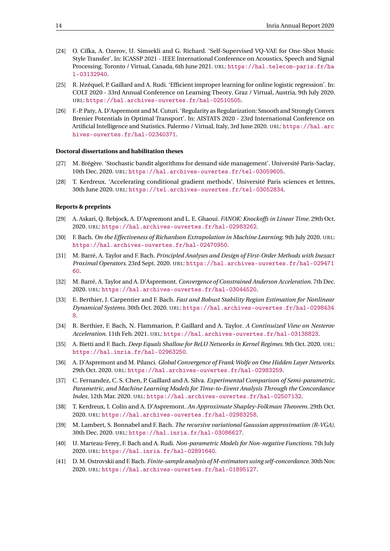- [24] O. Cífka, A. Ozerov, U. Simsekli and G. Richard. 'Self-Supervised VQ-VAE for One-Shot Music Style Transfer'. In: ICASSP 2021 - IEEE International Conference on Acoustics, Speech and Signal Processing. Toronto / Virtual, Canada, 6th June 2021. URL: [https://hal.telecom-paris.fr/ha](https://hal.telecom-paris.fr/hal-03132940) [l-03132940](https://hal.telecom-paris.fr/hal-03132940).
- [25] R. Jézéquel, P. Gaillard and A. Rudi. 'Efficient improper learning for online logistic regression'. In: COLT 2020 - 33rd Annual Conference on Learning Theory. Graz / Virtual, Austria, 9th July 2020. URL: <https://hal.archives-ouvertes.fr/hal-02510505>.
- [26] F.-P. Paty, A. D'Aspremont and M. Cuturi. 'Regularity as Regularization: Smooth and Strongly Convex Brenier Potentials in Optimal Transport'. In: AISTATS 2020 - 23rd International Conference on Artificial Intelligence and Statistics. Palermo / Virtual, Italy, 3rd June 2020. URL: [https://hal.arc](https://hal.archives-ouvertes.fr/hal-02340371) [hives-ouvertes.fr/hal-02340371](https://hal.archives-ouvertes.fr/hal-02340371).

#### **Doctoral dissertations and habilitation theses**

- [27] M. Brégère. 'Stochastic bandit algorithms for demand side management'. Université Paris-Saclay, 10th Dec. 2020. URL: <https://hal.archives-ouvertes.fr/tel-03059605>.
- [28] T. Kerdreux. 'Accelerating conditional gradient methods'. Université Paris sciences et lettres, 30th June 2020. URL: <https://tel.archives-ouvertes.fr/tel-03052834>.

#### **Reports & preprints**

- [29] A. Askari, Q. Rebjock, A. D'Aspremont and L. E. Ghaoui. *FANOK: Knockoffs in Linear Time*. 29th Oct. 2020. URL: <https://hal.archives-ouvertes.fr/hal-02983262>.
- [30] F. Bach. *On the Effectiveness of Richardson Extrapolation in Machine Learning*. 9th July 2020. URL: <https://hal.archives-ouvertes.fr/hal-02470950>.
- [31] M. Barré, A. Taylor and F. Bach. *Principled Analyses and Design of First-Order Methods with Inexact Proximal Operators*. 23rd Sept. 2020. URL: [https://hal.archives-ouvertes.fr/hal-029471](https://hal.archives-ouvertes.fr/hal-02947160) [60](https://hal.archives-ouvertes.fr/hal-02947160).
- [32] M. Barré, A. Taylor and A. D'Aspremont. *Convergence of Constrained Anderson Acceleration*. 7th Dec. 2020. URL: <https://hal.archives-ouvertes.fr/hal-03044520>.
- [33] E. Berthier, J. Carpentier and F. Bach. *Fast and Robust Stability Region Estimation for Nonlinear Dynamical Systems*. 30th Oct. 2020. URL: [https://hal.archives-ouvertes.fr/hal-0298434](https://hal.archives-ouvertes.fr/hal-02984348) [8](https://hal.archives-ouvertes.fr/hal-02984348).
- [34] R. Berthier, F. Bach, N. Flammarion, P. Gaillard and A. Taylor. *A Continuized View on Nesterov Acceleration*. 11th Feb. 2021. URL: <https://hal.archives-ouvertes.fr/hal-03138823>.
- [35] A. Bietti and F. Bach. *Deep Equals Shallow for ReLU Networks in Kernel Regimes*. 9th Oct. 2020. URL: <https://hal.inria.fr/hal-02963250>.
- [36] A. D'Aspremont and M. Pilanci. *Global Convergence of Frank Wolfe on One Hidden Layer Networks*. 29th Oct. 2020. URL: <https://hal.archives-ouvertes.fr/hal-02983259>.
- [37] C. Fernandez, C. S. Chen, P. Gaillard and A. Silva. *Experimental Comparison of Semi-parametric, Parametric, and Machine Learning Models for Time-to-Event Analysis Through the Concordance Index*. 12th Mar. 2020. URL: <https://hal.archives-ouvertes.fr/hal-02507132>.
- [38] T. Kerdreux, I. Colin and A. D'Aspremont. *An Approximate Shapley-Folkman Theorem*. 29th Oct. 2020. URL: <https://hal.archives-ouvertes.fr/hal-02983258>.
- [39] M. Lambert, S. Bonnabel and F. Bach. *The recursive variational Gaussian approximation (R-VGA)*. 30th Dec. 2020. URL: <https://hal.inria.fr/hal-03086627>.
- [40] U. Marteau-Ferey, F. Bach and A. Rudi. *Non-parametric Models for Non-negative Functions*. 7th July 2020. URL: <https://hal.inria.fr/hal-02891640>.
- [41] D. M. Ostrovskii and F. Bach. *Finite-sample analysis of M-estimators using self-concordance*. 30th Nov. 2020. URL: <https://hal.archives-ouvertes.fr/hal-01895127>.